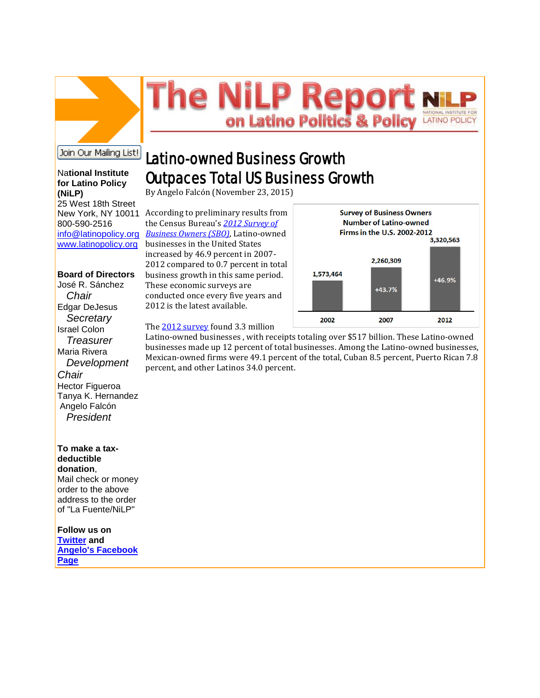# he NiLP Repo VATIONAL INSTITUTE FOR on Latino Politics & Polic **LATINO POLICY**

## Join Our Mailing List!

#### Na**tional Institute for Latino Policy (NiLP)**

25 West 18th Street 800-590-2516 [info@latinopolicy.org](mailto:info@latinopolicy.org) [www.latinopolicy.org](http://r20.rs6.net/tn.jsp?f=001faAxEnQjejfqmpfjQfS0yBOyvkApzmi6e3SAgOCPfJCIn7QKUOrN95HrBrl_4TUk8HxESja_74Jqob2TG3LKWsrFiLvKtU_EODxeOFq4Ivom2_CMtn-l1Wo6YPYSsdKAEPq6CaR_G0ICEERmwRMKdBUII1L1LKvyKWQbIiQH7Se1Re_i4-OPtA==&c=VAOCFN3bH-4MllkwmEqI44Vo5PmJYhbI-DPDd_qNvvPn6kgE6w0EYA==&ch=_-1cdrkJZ7GDwrARzkk10dC-ErFUvk6FWc-BznZBUjSNiRJNCS_5rg==)

#### **Board of Directors**

José R. Sánchez  *Chair* Edgar DeJesus  *Secretary* Israel Colon  *Treasurer* Maria Rivera  *Development Chair* Hector Figueroa Tanya K. Hernandez Angelo Falcón  *President* 

### **To make a taxdeductible donation**, Mail check or money order to the above

address to the order of "La Fuente/NiLP"

**Follow us on [Twitter](http://r20.rs6.net/tn.jsp?f=001faAxEnQjejfqmpfjQfS0yBOyvkApzmi6e3SAgOCPfJCIn7QKUOrN9xKn3YfpP5zRG2FdzWrsdkzNRf2ZCziv7GhOYRT37mUIGw_MtRhGKxFhoYqw1B2gHz-sX-QxoAFqBYTBAeTsHDm6iZdugSl76H6Xu0GLyfCn4UmKbZff0aIUamAOSRejKeUqUoYCW1zU&c=VAOCFN3bH-4MllkwmEqI44Vo5PmJYhbI-DPDd_qNvvPn6kgE6w0EYA==&ch=_-1cdrkJZ7GDwrARzkk10dC-ErFUvk6FWc-BznZBUjSNiRJNCS_5rg==) and [Angelo's Facebook](http://r20.rs6.net/tn.jsp?f=001faAxEnQjejfqmpfjQfS0yBOyvkApzmi6e3SAgOCPfJCIn7QKUOrN9xKn3YfpP5zROG7GtDsKaBXA8Zsunz16KuuchsLT3LuhlU1oxj4-VxyRGufVTlrfbIUk6GRGm4xJpVsaWAka1ZedL8nOSyyzU4zRkS2ff0Y7iMw2BYc7U45JKPJHbIvPdKHgOJrPvYH7&c=VAOCFN3bH-4MllkwmEqI44Vo5PmJYhbI-DPDd_qNvvPn6kgE6w0EYA==&ch=_-1cdrkJZ7GDwrARzkk10dC-ErFUvk6FWc-BznZBUjSNiRJNCS_5rg==)  [Page](http://r20.rs6.net/tn.jsp?f=001faAxEnQjejfqmpfjQfS0yBOyvkApzmi6e3SAgOCPfJCIn7QKUOrN9xKn3YfpP5zROG7GtDsKaBXA8Zsunz16KuuchsLT3LuhlU1oxj4-VxyRGufVTlrfbIUk6GRGm4xJpVsaWAka1ZedL8nOSyyzU4zRkS2ff0Y7iMw2BYc7U45JKPJHbIvPdKHgOJrPvYH7&c=VAOCFN3bH-4MllkwmEqI44Vo5PmJYhbI-DPDd_qNvvPn6kgE6w0EYA==&ch=_-1cdrkJZ7GDwrARzkk10dC-ErFUvk6FWc-BznZBUjSNiRJNCS_5rg==)**

# Latino-owned Business Growth Outpaces Total US Business Growth

By Angelo Falcón (November 23, 2015)

New York, NY 10011 According to preliminary results from the Census Bureau's *[2012 Survey of](http://r20.rs6.net/tn.jsp?f=001faAxEnQjejfqmpfjQfS0yBOyvkApzmi6e3SAgOCPfJCIn7QKUOrN92b4kSEst0NswLkIPpGm4kG1p7OqToiOjGZsIS3h8mTEH9ir1e9TayngniFELAlZ820TA66xzMiJL_dltK7F84hbR8Vjksdrqn2tUizEbO3FuDk3ypS8c5l7SSkTQGSzG1ifLo3djEtX4xQg7-jjttg=&c=VAOCFN3bH-4MllkwmEqI44Vo5PmJYhbI-DPDd_qNvvPn6kgE6w0EYA==&ch=_-1cdrkJZ7GDwrARzkk10dC-ErFUvk6FWc-BznZBUjSNiRJNCS_5rg==)  [Business Owners \(SBO\)](http://r20.rs6.net/tn.jsp?f=001faAxEnQjejfqmpfjQfS0yBOyvkApzmi6e3SAgOCPfJCIn7QKUOrN92b4kSEst0NswLkIPpGm4kG1p7OqToiOjGZsIS3h8mTEH9ir1e9TayngniFELAlZ820TA66xzMiJL_dltK7F84hbR8Vjksdrqn2tUizEbO3FuDk3ypS8c5l7SSkTQGSzG1ifLo3djEtX4xQg7-jjttg=&c=VAOCFN3bH-4MllkwmEqI44Vo5PmJYhbI-DPDd_qNvvPn6kgE6w0EYA==&ch=_-1cdrkJZ7GDwrARzkk10dC-ErFUvk6FWc-BznZBUjSNiRJNCS_5rg==)*, Latino-owned businesses in the United States increased by 46.9 percent in 2007- 2012 compared to 0.7 percent in total business growth in this same period. These economic surveys are conducted once every five years and 2012 is the latest available.



The [2012 survey](http://r20.rs6.net/tn.jsp?f=001faAxEnQjejfqmpfjQfS0yBOyvkApzmi6e3SAgOCPfJCIn7QKUOrN92b4kSEst0NsJMRM8h6-yEw6spWN5TdgYfTQs-7owrXoMzXFI6GLQOaHL_dnashv6hZ5-POsZD-V5Y5MVXJmAaC1AqRZQTq7TM4H-DbqFv2z3XKGgj1FTL4YtGmCpXxh9H0KZps46NhH0LzE8cuG7zg=&c=VAOCFN3bH-4MllkwmEqI44Vo5PmJYhbI-DPDd_qNvvPn6kgE6w0EYA==&ch=_-1cdrkJZ7GDwrARzkk10dC-ErFUvk6FWc-BznZBUjSNiRJNCS_5rg==) found 3.3 million

Latino-owned businesses , with receipts totaling over \$517 billion. These Latino-owned businesses made up 12 percent of total businesses. Among the Latino-owned businesses, Mexican-owned firms were 49.1 percent of the total, Cuban 8.5 percent, Puerto Rican 7.8 percent, and other Latinos 34.0 percent.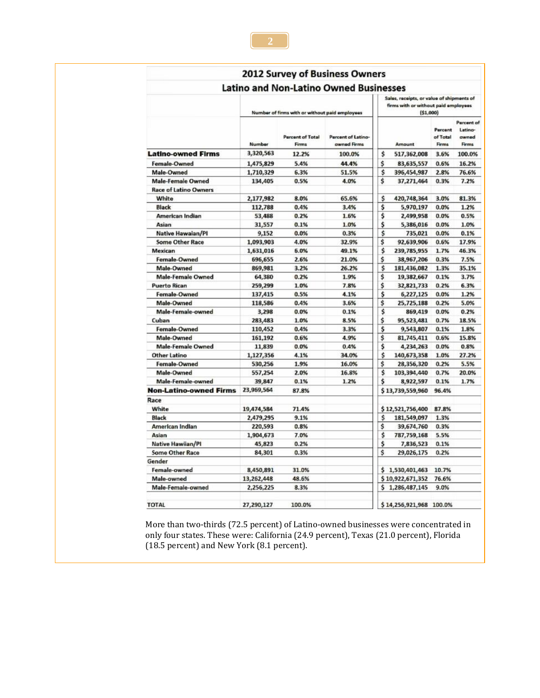|                               |                                                |                                  | 2012 Survey of Business Owners    |                                                                                               |                         |                              |                                         |  |  |  |
|-------------------------------|------------------------------------------------|----------------------------------|-----------------------------------|-----------------------------------------------------------------------------------------------|-------------------------|------------------------------|-----------------------------------------|--|--|--|
|                               | <b>Latino and Non-Latino Owned Businesses</b>  |                                  |                                   |                                                                                               |                         |                              |                                         |  |  |  |
|                               | Number of firms with or without paid employees |                                  |                                   | Sales, receipts, or value of shipments of<br>firms with or without paid employees<br>(51,000) |                         |                              |                                         |  |  |  |
|                               | Number                                         | <b>Percent of Total</b><br>Firms | Percent of Latino-<br>awned Firms |                                                                                               | Amount                  | Percent<br>of Total<br>Firms | Percent of<br>Latino-<br>owned<br>Firms |  |  |  |
| <b>Latino-owned Firms</b>     | 3,320,563                                      | 12.2%                            | 100.0%                            | \$                                                                                            | 517,362,008             | 3.6%                         | 100.0%                                  |  |  |  |
| Female-Owned                  | 1,475,829                                      | 5.4%                             | 44.4%                             | \$                                                                                            | 83,635,557              | 0.6%                         | 16.2%                                   |  |  |  |
| Male-Owned                    | 1,710,329                                      | 6.3%                             | 51.5%                             | \$                                                                                            | 396,454,987             | 2.8%                         | 76.6%                                   |  |  |  |
| <b>Male-Female Owned</b>      | 134,405                                        | 0.5%                             | 4.0%                              | \$                                                                                            | 37,271,464              | 0.3%                         | 7.2%                                    |  |  |  |
| <b>Race of Latino Owners</b>  |                                                |                                  |                                   |                                                                                               |                         |                              |                                         |  |  |  |
| White                         | 2,177,982                                      | 8.0%                             | 65.6%                             | \$                                                                                            | 420,748,364             | 3.0%                         | 81.3%                                   |  |  |  |
| <b>Black</b>                  | 112,788                                        | 0.4%                             | 3.4%                              | \$                                                                                            | 5,970,197               | 0.0%                         | 1.2%                                    |  |  |  |
| <b>American Indian</b>        | 53,488                                         | 0.2%                             | 1.6%                              | \$                                                                                            | 2,499,958               | 0.0%                         | 0.5%                                    |  |  |  |
| Asian                         | 31,557                                         | 0.1%                             | 1.0%                              | \$                                                                                            | 5,386,016               | 0.0%                         | 1.0%                                    |  |  |  |
| <b>Native Hawaian/PI</b>      | 9,152                                          | 0.0%                             | 0.3%                              | \$                                                                                            | 735,021                 | 0.0%                         | 0.1%                                    |  |  |  |
| <b>Some Other Race</b>        | 1,093,903                                      | 4.0%                             | 32.9%                             | \$                                                                                            | 92,639,906              | 0.6%                         | 17.9%                                   |  |  |  |
| Mexican                       | 1,631,016                                      | 6.0%                             | 49.1%                             | \$                                                                                            | 239,785,955             | 1.7%                         | 46.3%                                   |  |  |  |
| Female-Owned                  | 696,655                                        | 2.6%                             | 21.0%                             | \$                                                                                            | 38,967,206              | 0.3%                         | 7.5%                                    |  |  |  |
| Male-Owned                    | 869,981                                        | 3.2%                             | 26.2%                             | Ś                                                                                             | 181,436,082             | 1.3%                         | 35.1%                                   |  |  |  |
| <b>Male-Female Owned</b>      | 64,380                                         | 0.2%                             | 1.9%                              | \$                                                                                            | 19,382,667              | 0.1%                         | 3.7%                                    |  |  |  |
| <b>Puerto Rican</b>           | 259,299                                        | 1.0%                             | 7.8%                              | \$                                                                                            | 32,821,733              | 0.2%                         | 6.3%                                    |  |  |  |
| Female-Owned                  | 137,415                                        | 0.5%                             | 4.1%                              | \$                                                                                            | 6,227,125               | 0.0%                         | 1.2%                                    |  |  |  |
| Male-Owned                    | 118,586                                        | 0.4%                             | 3.6%                              | \$                                                                                            | 25,725,188              | 0.2%                         | 5.0%                                    |  |  |  |
| Male-Female-owned             | 3,298                                          | 0.0%                             | 0.1%                              | \$                                                                                            | 869,419                 | 0.0%                         | 0.2%                                    |  |  |  |
| Cuban                         | 283,483                                        | 1.0%                             | 8.5%                              | \$                                                                                            | 95,523,481              | 0.7%                         | 18.5%                                   |  |  |  |
| Female-Owned                  | 110,452                                        | 0.4%                             | 3.3%                              | \$                                                                                            | 9,543,807               | 0.1%                         | 1.8%                                    |  |  |  |
| Male-Owned                    | 161,192                                        | 0.6%                             | 4.9%                              | \$                                                                                            | 81,745,411              | 0.6%                         | 15.8%                                   |  |  |  |
| <b>Male-Female Owned</b>      | 11,839                                         | 0.0%                             | 0.4%                              | \$                                                                                            | 4,234,263               | 0.0%                         | 0.8%                                    |  |  |  |
| <b>Other Latino</b>           | 1,127,356                                      | 4.1%                             | 34.0%                             | \$                                                                                            | 140,673,358             | 1.0%                         | 27.2%                                   |  |  |  |
| Female-Owned                  | 530,256                                        | 1.9%                             | 16.0%                             | \$                                                                                            | 28,356,320              | 0.2%                         | 5.5%                                    |  |  |  |
| Male-Owned                    | 557,254                                        | 2.0%                             | 16.8%                             | \$                                                                                            | 103,394,440             | 0.7%                         | 20.0%                                   |  |  |  |
| Male-Female-owned             | 39,847                                         | 0.1%                             | 1.2%                              | \$                                                                                            | 8,922,597               | 0.1%                         | 1.7%                                    |  |  |  |
| <b>Non-Latino-owned Firms</b> | 23,969,564                                     | 87.8%                            |                                   |                                                                                               | \$13,739,559,960        | 96.4%                        |                                         |  |  |  |
| Race                          |                                                |                                  |                                   |                                                                                               |                         |                              |                                         |  |  |  |
| White                         | 19,474,584                                     | 71.4%                            |                                   |                                                                                               | \$12,521,756,400        | 87.8%                        |                                         |  |  |  |
| <b>Black</b>                  | 2,479,295                                      | 9.1%                             |                                   | \$                                                                                            | 181,549,097             | 1.3%                         |                                         |  |  |  |
| American Indian               | 220,593                                        | 0.8%                             |                                   | \$                                                                                            | 39,674,760              | 0.3%                         |                                         |  |  |  |
| Asian                         | 1,904,673                                      | 7.0%                             |                                   | \$                                                                                            | 787,759,168             | 5.5%                         |                                         |  |  |  |
| Native Hawiian/Pl             | 45,823                                         | 0.2%                             |                                   | \$                                                                                            | 7,836,523               | 0.1%                         |                                         |  |  |  |
| <b>Some Other Race</b>        | 84,301                                         | 0.3%                             |                                   | \$                                                                                            | 29,026,175              | 0.2%                         |                                         |  |  |  |
| Gender                        |                                                |                                  |                                   |                                                                                               |                         |                              |                                         |  |  |  |
| Female-owned                  | 8,450,891                                      | 31.0%                            |                                   |                                                                                               | \$1,530,401,463         | 10.7%                        |                                         |  |  |  |
| Male-owned                    | 13,262,448                                     | 48.6%                            |                                   |                                                                                               | \$10,922,671,352        | 76.6%                        |                                         |  |  |  |
| Male-Female-owned             | 2,256,225                                      | 8.3%                             |                                   |                                                                                               | \$1,286,487,145         | 9.0%                         |                                         |  |  |  |
|                               |                                                |                                  |                                   |                                                                                               |                         |                              |                                         |  |  |  |
| <b>TOTAL</b>                  | 27,290,127                                     | 100.0%                           |                                   |                                                                                               | \$14,256,921,968 100.0% |                              |                                         |  |  |  |

More than two-thirds (72.5 percent) of Latino-owned businesses were concentrated in only four states. These were: California (24.9 percent), Texas (21.0 percent), Florida (18.5 percent) and New York (8.1 percent).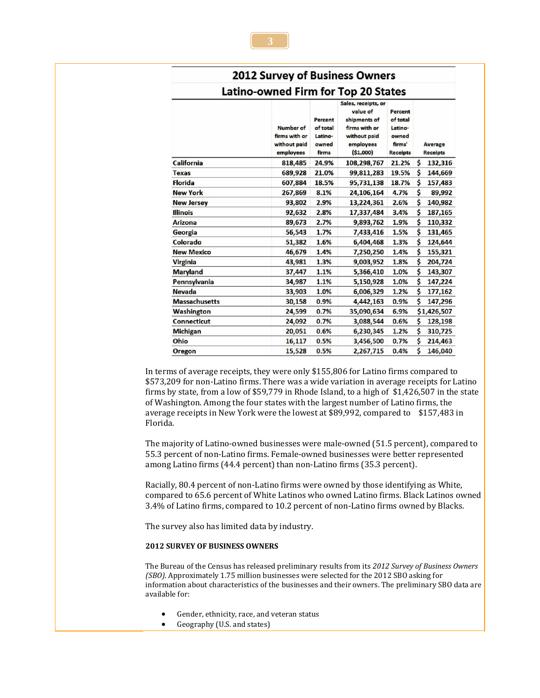| <b>2012 Survey of Business Owners</b>      |                                                         |                                                  |                                                                                                           |                                                                      |                            |  |  |  |  |  |  |
|--------------------------------------------|---------------------------------------------------------|--------------------------------------------------|-----------------------------------------------------------------------------------------------------------|----------------------------------------------------------------------|----------------------------|--|--|--|--|--|--|
| <b>Latino-owned Firm for Top 20 States</b> |                                                         |                                                  |                                                                                                           |                                                                      |                            |  |  |  |  |  |  |
|                                            | Number of<br>firms with or<br>without paid<br>employees | Percent<br>of total<br>Latino-<br>owned<br>firms | Sales, receipts, or<br>value of<br>shipments of<br>firms with or<br>without paid<br>employees<br>(51,000) | Percent<br>of total<br>Latino-<br>owned<br>firms'<br><b>Receipts</b> | Average<br><b>Receipts</b> |  |  |  |  |  |  |
| California                                 | 818,485                                                 | 24.9%                                            | 108,298,767                                                                                               | 21.2%                                                                | \$<br>132,316              |  |  |  |  |  |  |
| <b>Texas</b>                               | 689,928                                                 | 21.0%                                            | 99,811,283                                                                                                | 19.5%                                                                | \$<br>144,669              |  |  |  |  |  |  |
| <b>Florida</b>                             | 607,884                                                 | 18.5%                                            | 95,731,138                                                                                                | 18.7%                                                                | \$<br>157,483              |  |  |  |  |  |  |
| <b>New York</b>                            | 267,869                                                 | 8.1%                                             | 24,106,164                                                                                                | 4.7%                                                                 | \$<br>89,992               |  |  |  |  |  |  |
| <b>New Jersey</b>                          | 93,802                                                  | 2.9%                                             | 13,224,361                                                                                                | 2.6%                                                                 | \$<br>140,982              |  |  |  |  |  |  |
| <b>Illinois</b>                            | 92,632                                                  | 2.8%                                             | 17,337,484                                                                                                | 3.4%                                                                 | \$<br>187,165              |  |  |  |  |  |  |
| <b>Arizona</b>                             | 89,673                                                  | 2.7%                                             | 9,893,762                                                                                                 | 1.9%                                                                 | \$<br>110,332              |  |  |  |  |  |  |
| Georgia                                    | 56,543                                                  | 1.7%                                             | 7,433,416                                                                                                 | 1.5%                                                                 | \$<br>131,465              |  |  |  |  |  |  |
| Colorado                                   | 51,382                                                  | 1.6%                                             | 6,404,468                                                                                                 | 1.3%                                                                 | \$<br>124,644              |  |  |  |  |  |  |
| <b>New Mexico</b>                          | 46,679                                                  | 1.4%                                             | 7,250,250                                                                                                 | 1.4%                                                                 | \$<br>155,321              |  |  |  |  |  |  |
| <b>Virginia</b>                            | 43,981                                                  | 1.3%                                             | 9,003,952                                                                                                 | 1.8%                                                                 | \$<br>204,724              |  |  |  |  |  |  |
| <b>Maryland</b>                            | 37,447                                                  | 1.1%                                             | 5,366,410                                                                                                 | 1.0%                                                                 | \$<br>143,307              |  |  |  |  |  |  |
| Pennsylvania                               | 34.987                                                  | 1.1%                                             | 5,150,928                                                                                                 | 1.0%                                                                 | \$<br>147,224              |  |  |  |  |  |  |
| Nevada                                     | 33,903                                                  | 1.0%                                             | 6,006,329                                                                                                 | 1.2%                                                                 | \$<br>177,162              |  |  |  |  |  |  |
| <b>Massachusetts</b>                       | 30,158                                                  | 0.9%                                             | 4,442,163                                                                                                 | 0.9%                                                                 | Ś<br>147,296               |  |  |  |  |  |  |
| Washington                                 | 24,599                                                  | 0.7%                                             | 35,090,634                                                                                                | 6.9%                                                                 | \$1,426,507                |  |  |  |  |  |  |
| Connecticut                                | 24,092                                                  | 0.7%                                             | 3,088,544                                                                                                 | 0.6%                                                                 | \$<br>128,198              |  |  |  |  |  |  |
| <b>Michigan</b>                            | 20,051                                                  | 0.6%                                             | 6,230,345                                                                                                 | 1.2%                                                                 | \$<br>310,725              |  |  |  |  |  |  |
| Ohio                                       | 16,117                                                  | 0.5%                                             | 3,456,500                                                                                                 | 0.7%                                                                 | Ś<br>214,463               |  |  |  |  |  |  |
| Oregon                                     | 15,528                                                  | 0.5%                                             | 2,267,715                                                                                                 | 0.4%                                                                 | \$<br>146,040              |  |  |  |  |  |  |

In terms of average receipts, they were only \$155,806 for Latino firms compared to \$573,209 for non-Latino firms. There was a wide variation in average receipts for Latino firms by state, from a low of \$59,779 in Rhode Island, to a high of \$1,426,507 in the state of Washington. Among the four states with the largest number of Latino firms, the average receipts in New York were the lowest at \$89,992, compared to \$157,483 in Florida.

The majority of Latino-owned businesses were male-owned (51.5 percent), compared to 55.3 percent of non-Latino firms. Female-owned businesses were better represented among Latino firms (44.4 percent) than non-Latino firms (35.3 percent).

Racially, 80.4 percent of non-Latino firms were owned by those identifying as White, compared to 65.6 percent of White Latinos who owned Latino firms. Black Latinos owned 3.4% of Latino firms, compared to 10.2 percent of non-Latino firms owned by Blacks.

The survey also has limited data by industry.

#### **2012 SURVEY OF BUSINESS OWNERS**

The Bureau of the Census has released preliminary results from its *2012 Survey of Business Owners (SBO).* Approximately 1.75 million businesses were selected for the 2012 SBO asking for information about characteristics of the businesses and their owners. The preliminary SBO data are available for:

- Gender, ethnicity, race, and veteran status
- Geography (U.S. and states)